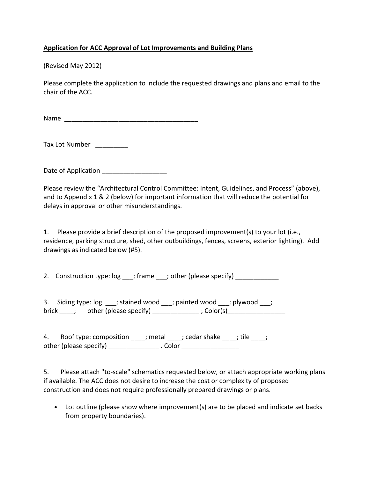## Application for ACC Approval of Lot Improvements and Building Plans

(Revised May 2012)

Please complete the application to include the requested drawings and plans and email to the chair of the ACC.

Name \_\_\_\_\_\_\_\_\_\_\_\_\_\_\_\_\_\_\_\_\_\_\_\_\_\_\_\_\_\_\_\_\_\_\_\_\_

Tax Lot Number \_\_\_\_\_\_\_\_\_

Date of Application \_\_\_\_\_\_\_\_\_\_\_\_\_\_\_\_\_\_\_\_

Please review the "Architectural Control Committee: Intent, Guidelines, and Process" (above), and to Appendix 1 & 2 (below) for important information that will reduce the potential for delays in approval or other misunderstandings.

1. Please provide a brief description of the proposed improvement(s) to your lot (i.e., residence, parking structure, shed, other outbuildings, fences, screens, exterior lighting). Add drawings as indicated below (#5).

2. Construction type:  $log$  \_\_\_; frame \_\_\_; other (please specify) \_\_\_\_\_\_\_\_\_\_\_\_\_\_\_

3. Siding type:  $log$  \_\_\_; stained wood \_\_\_; painted wood \_\_\_; plywood \_\_\_; brick  $\frac{1}{\sqrt{1-\frac{1}{n}}}$  other (please specify)  $\frac{1}{\sqrt{1-\frac{1}{n}}}$ ; Color(s)  $\frac{1}{\sqrt{1-\frac{1}{n}}}$ 

4. Roof type: composition \_\_\_\_; metal \_\_\_\_; cedar shake \_\_\_\_; tile \_\_\_\_; other (please specify) \_\_\_\_\_\_\_\_\_\_\_\_\_\_\_. Color \_\_\_\_\_\_\_\_\_\_\_\_\_\_\_\_\_\_\_\_\_\_\_\_\_\_\_\_\_\_\_\_\_\_

5. Please attach "to-scale" schematics requested below, or attach appropriate working plans if available. The ACC does not desire to increase the cost or complexity of proposed construction and does not require professionally prepared drawings or plans.

• Lot outline (please show where improvement(s) are to be placed and indicate set backs from property boundaries).